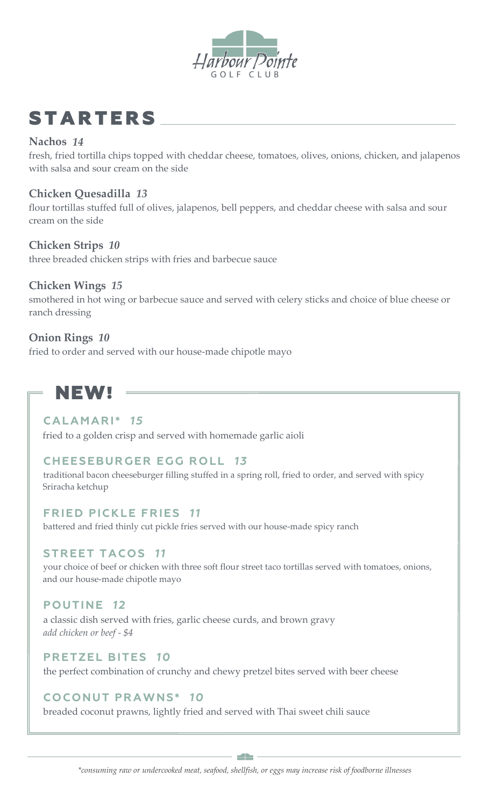

## **STARTERS**

#### **Nachos** *14*

fresh, fried tortilla chips topped with cheddar cheese, tomatoes, olives, onions, chicken, and jalapenos with salsa and sour cream on the side

#### **Chicken Quesadilla** *13*

flour tortillas stuffed full of olives, jalapenos, bell peppers, and cheddar cheese with salsa and sour cream on the side

#### **Chicken Strips** *10*

three breaded chicken strips with fries and barbecue sauce

#### **Chicken Wings** *15*

smothered in hot wing or barbecue sauce and served with celery sticks and choice of blue cheese or ranch dressing

#### **Onion Rings** *10*

fried to order and served with our house-made chipotle mayo

### NEW!

#### **CALAMARI\*** *15*

fried to a golden crisp and served with homemade garlic aioli

#### **CHEESEBURGER EGG ROLL** *13*

traditional bacon cheeseburger filling stuffed in a spring roll, fried to order, and served with spicy Sriracha ketchup

#### **FRIED PICKLE FRIES** *11*

battered and fried thinly cut pickle fries served with our house-made spicy ranch

#### **STREET TACOS** *11*

your choice of beef or chicken with three soft flour street taco tortillas served with tomatoes, onions, and our house-made chipotle mayo

#### **POUTINE** *12*

a classic dish served with fries, garlic cheese curds, and brown gravy *add chicken or beef - \$4*

#### **PRETZEL BITES** *10*

the perfect combination of crunchy and chewy pretzel bites served with beer cheese

#### **COCONUT PRAWNS\*** *10*

breaded coconut prawns, lightly fried and served with Thai sweet chili sauce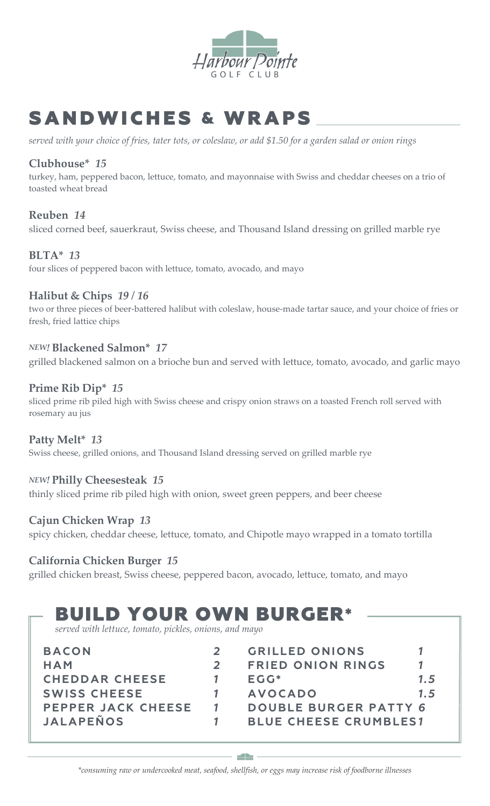

## SANDWICHES & WRAPS

*served with your choice of fries, tater tots, or coleslaw, or add \$1.50 for a garden salad or onion rings*

#### **Clubhouse\*** *15*

turkey, ham, peppered bacon, lettuce, tomato, and mayonnaise with Swiss and cheddar cheeses on a trio of toasted wheat bread

#### **Reuben** *14* sliced corned beef, sauerkraut, Swiss cheese, and Thousand Island dressing on grilled marble rye

#### **BLTA\*** *13*

four slices of peppered bacon with lettuce, tomato, avocado, and mayo

#### **Halibut & Chips** *19 / 16*

two or three pieces of beer-battered halibut with coleslaw, house-made tartar sauce, and your choice of fries or fresh, fried lattice chips

#### *NEW!* **Blackened Salmon\*** *17*

grilled blackened salmon on a brioche bun and served with lettuce, tomato, avocado, and garlic mayo

#### **Prime Rib Dip\*** *15*

sliced prime rib piled high with Swiss cheese and crispy onion straws on a toasted French roll served with rosemary au jus

#### **Patty Melt\*** *13*

Swiss cheese, grilled onions, and Thousand Island dressing served on grilled marble rye

#### *NEW!* **Philly Cheesesteak** *15*

thinly sliced prime rib piled high with onion, sweet green peppers, and beer cheese

#### **Cajun Chicken Wrap** *13*

spicy chicken, cheddar cheese, lettuce, tomato, and Chipotle mayo wrapped in a tomato tortilla

#### **California Chicken Burger** *15*

grilled chicken breast, Swiss cheese, peppered bacon, avocado, lettuce, tomato, and mayo

# BUILD YOUR OWN BURGER\* *served with lettuce, tomato, pickles, onions, and mayo*

| <b>BACON</b>          | <b>GRILLED ONIONS</b>        |     |
|-----------------------|------------------------------|-----|
| HAM                   | <b>FRIED ONION RINGS</b>     |     |
| <b>CHEDDAR CHEESE</b> | $EGG*$                       | 1.5 |
| <b>SWISS CHEESE</b>   | <b>AVOCADO</b>               | 1.5 |
| PEPPER JACK CHEESE    | <b>DOUBLE BURGER PATTY 6</b> |     |
| <b>JALAPEÑOS</b>      | <b>BLUE CHEESE CRUMBLES1</b> |     |